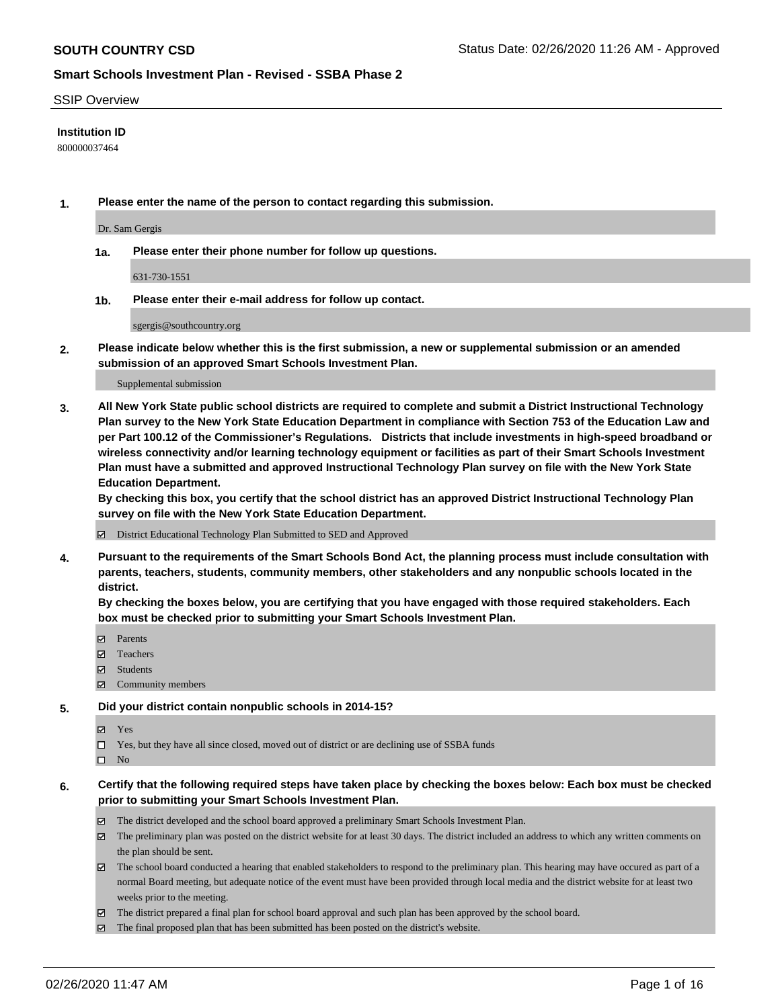### SSIP Overview

### **Institution ID**

800000037464

**1. Please enter the name of the person to contact regarding this submission.**

Dr. Sam Gergis

**1a. Please enter their phone number for follow up questions.**

631-730-1551

**1b. Please enter their e-mail address for follow up contact.**

sgergis@southcountry.org

**2. Please indicate below whether this is the first submission, a new or supplemental submission or an amended submission of an approved Smart Schools Investment Plan.**

#### Supplemental submission

**3. All New York State public school districts are required to complete and submit a District Instructional Technology Plan survey to the New York State Education Department in compliance with Section 753 of the Education Law and per Part 100.12 of the Commissioner's Regulations. Districts that include investments in high-speed broadband or wireless connectivity and/or learning technology equipment or facilities as part of their Smart Schools Investment Plan must have a submitted and approved Instructional Technology Plan survey on file with the New York State Education Department.** 

**By checking this box, you certify that the school district has an approved District Instructional Technology Plan survey on file with the New York State Education Department.**

District Educational Technology Plan Submitted to SED and Approved

**4. Pursuant to the requirements of the Smart Schools Bond Act, the planning process must include consultation with parents, teachers, students, community members, other stakeholders and any nonpublic schools located in the district.** 

**By checking the boxes below, you are certifying that you have engaged with those required stakeholders. Each box must be checked prior to submitting your Smart Schools Investment Plan.**

- **マ** Parents
- Teachers
- Students
- Community members

### **5. Did your district contain nonpublic schools in 2014-15?**

**冈** Yes

Yes, but they have all since closed, moved out of district or are declining use of SSBA funds

 $\square$  No

- **6. Certify that the following required steps have taken place by checking the boxes below: Each box must be checked prior to submitting your Smart Schools Investment Plan.**
	- The district developed and the school board approved a preliminary Smart Schools Investment Plan.
	- $\boxtimes$  The preliminary plan was posted on the district website for at least 30 days. The district included an address to which any written comments on the plan should be sent.
	- $\boxtimes$  The school board conducted a hearing that enabled stakeholders to respond to the preliminary plan. This hearing may have occured as part of a normal Board meeting, but adequate notice of the event must have been provided through local media and the district website for at least two weeks prior to the meeting.
	- The district prepared a final plan for school board approval and such plan has been approved by the school board.
	- The final proposed plan that has been submitted has been posted on the district's website.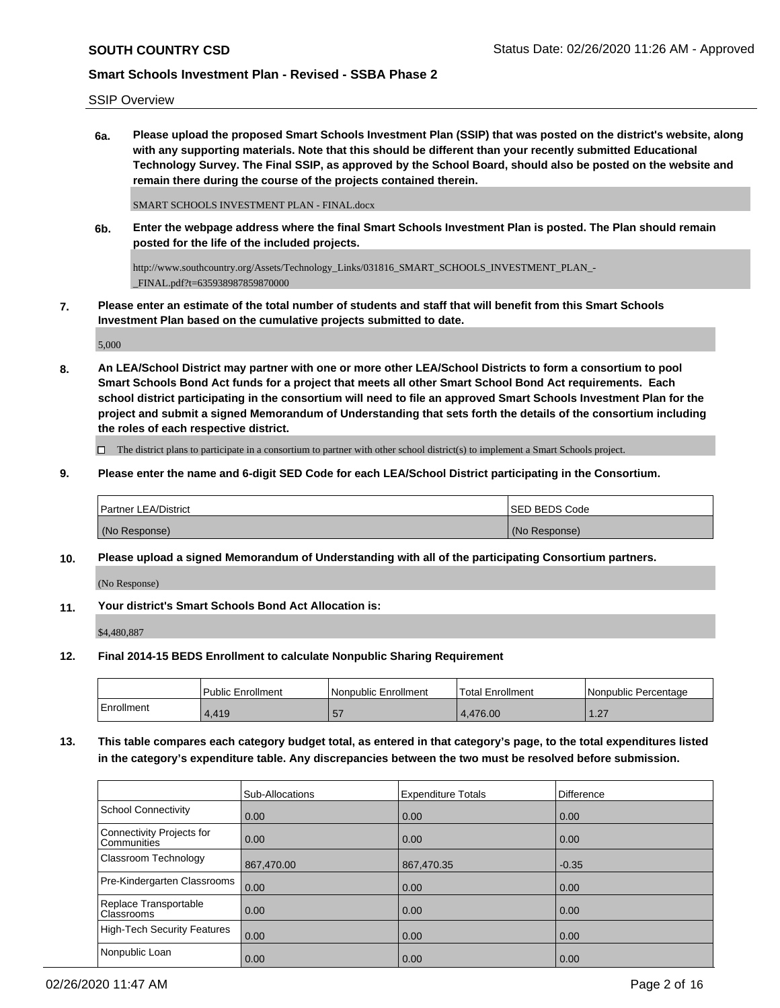SSIP Overview

**6a. Please upload the proposed Smart Schools Investment Plan (SSIP) that was posted on the district's website, along with any supporting materials. Note that this should be different than your recently submitted Educational Technology Survey. The Final SSIP, as approved by the School Board, should also be posted on the website and remain there during the course of the projects contained therein.**

SMART SCHOOLS INVESTMENT PLAN - FINAL.docx

**6b. Enter the webpage address where the final Smart Schools Investment Plan is posted. The Plan should remain posted for the life of the included projects.**

http://www.southcountry.org/Assets/Technology\_Links/031816\_SMART\_SCHOOLS\_INVESTMENT\_PLAN\_- \_FINAL.pdf?t=635938987859870000

**7. Please enter an estimate of the total number of students and staff that will benefit from this Smart Schools Investment Plan based on the cumulative projects submitted to date.**

5,000

**8. An LEA/School District may partner with one or more other LEA/School Districts to form a consortium to pool Smart Schools Bond Act funds for a project that meets all other Smart School Bond Act requirements. Each school district participating in the consortium will need to file an approved Smart Schools Investment Plan for the project and submit a signed Memorandum of Understanding that sets forth the details of the consortium including the roles of each respective district.**

 $\Box$  The district plans to participate in a consortium to partner with other school district(s) to implement a Smart Schools project.

**9. Please enter the name and 6-digit SED Code for each LEA/School District participating in the Consortium.**

| <b>Partner LEA/District</b> | <b>ISED BEDS Code</b> |
|-----------------------------|-----------------------|
| (No Response)               | (No Response)         |

**10. Please upload a signed Memorandum of Understanding with all of the participating Consortium partners.**

(No Response)

**11. Your district's Smart Schools Bond Act Allocation is:**

\$4,480,887

**12. Final 2014-15 BEDS Enrollment to calculate Nonpublic Sharing Requirement**

|            | <b>Public Enrollment</b> | l Nonpublic Enrollment | <b>Total Enrollment</b> | l Nonpublic Percentage |
|------------|--------------------------|------------------------|-------------------------|------------------------|
| Enrollment | +,419                    | 57                     | 4.476.00                | ົດສ<br>، ے ا           |

**13. This table compares each category budget total, as entered in that category's page, to the total expenditures listed in the category's expenditure table. Any discrepancies between the two must be resolved before submission.**

|                                                 | Sub-Allocations | <b>Expenditure Totals</b> | <b>Difference</b> |
|-------------------------------------------------|-----------------|---------------------------|-------------------|
| School Connectivity                             | 0.00            | 0.00                      | 0.00              |
| Connectivity Projects for<br><b>Communities</b> | 0.00            | 0.00                      | 0.00              |
| <b>Classroom Technology</b>                     | 867,470.00      | 867,470.35                | $-0.35$           |
| Pre-Kindergarten Classrooms                     | 0.00            | 0.00                      | 0.00              |
| Replace Transportable<br>Classrooms             | 0.00            | 0.00                      | 0.00              |
| High-Tech Security Features                     | 0.00            | 0.00                      | 0.00              |
| Nonpublic Loan                                  | 0.00            | 0.00                      | 0.00              |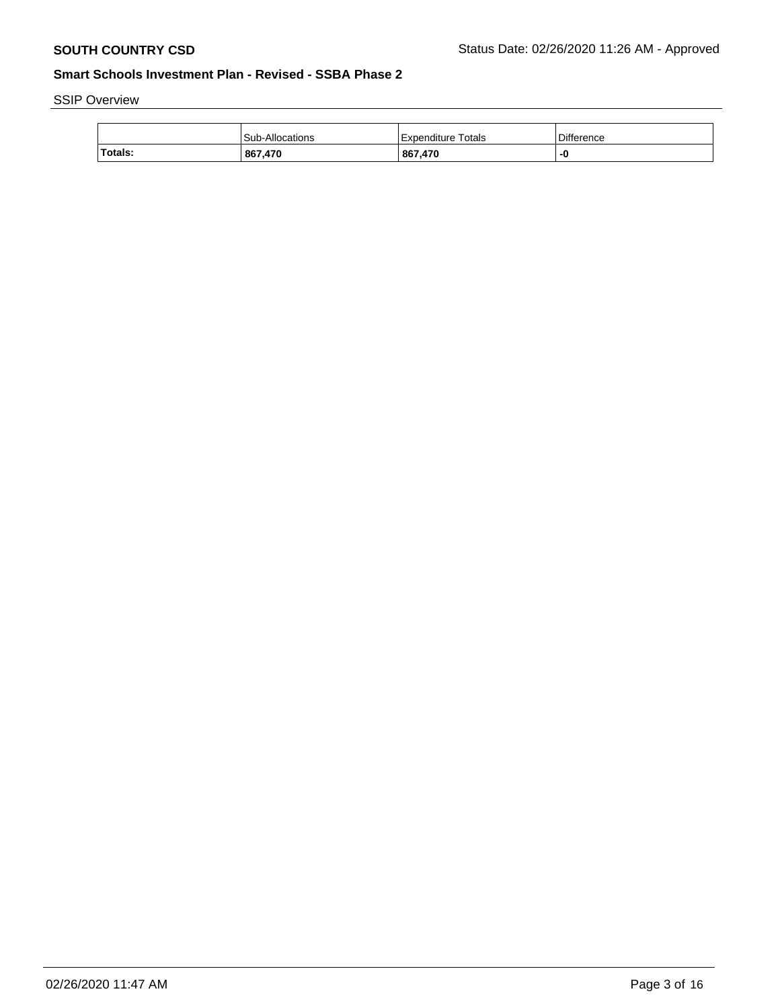# SSIP Overview

|         | <b>Sub-Allocations</b> | l Expenditure Totals | Difference |
|---------|------------------------|----------------------|------------|
| Totals: | 867,470                | 867,470              | -0         |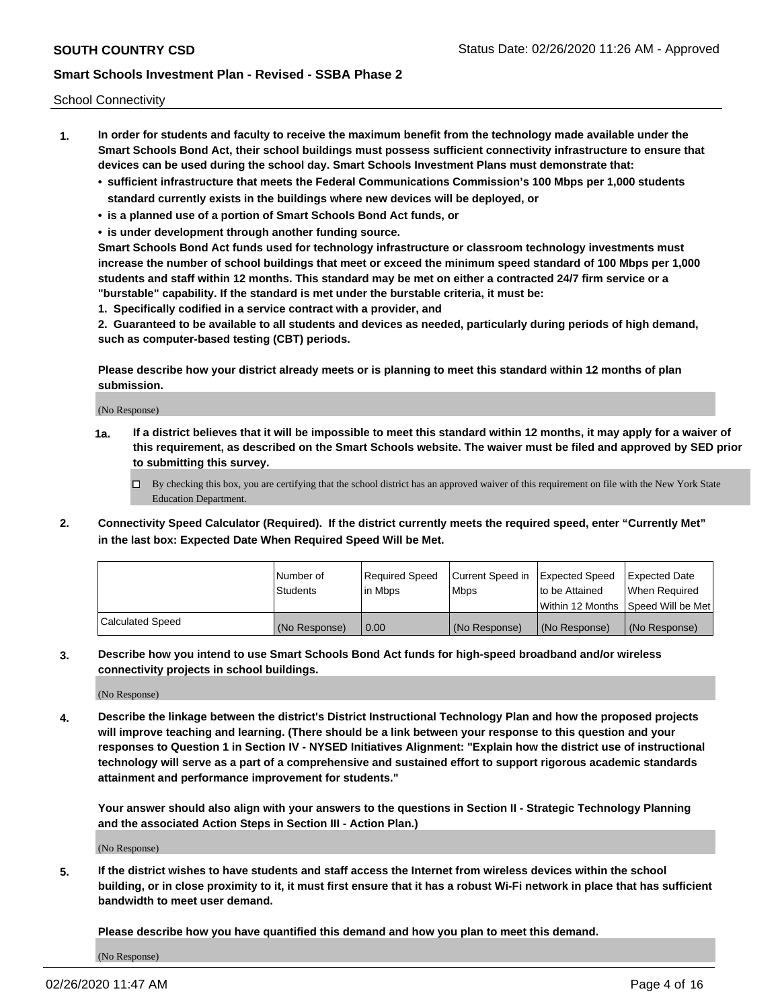School Connectivity

- **1. In order for students and faculty to receive the maximum benefit from the technology made available under the Smart Schools Bond Act, their school buildings must possess sufficient connectivity infrastructure to ensure that devices can be used during the school day. Smart Schools Investment Plans must demonstrate that:**
	- **• sufficient infrastructure that meets the Federal Communications Commission's 100 Mbps per 1,000 students standard currently exists in the buildings where new devices will be deployed, or**
	- **• is a planned use of a portion of Smart Schools Bond Act funds, or**
	- **• is under development through another funding source.**

**Smart Schools Bond Act funds used for technology infrastructure or classroom technology investments must increase the number of school buildings that meet or exceed the minimum speed standard of 100 Mbps per 1,000 students and staff within 12 months. This standard may be met on either a contracted 24/7 firm service or a "burstable" capability. If the standard is met under the burstable criteria, it must be:**

**1. Specifically codified in a service contract with a provider, and**

**2. Guaranteed to be available to all students and devices as needed, particularly during periods of high demand, such as computer-based testing (CBT) periods.**

**Please describe how your district already meets or is planning to meet this standard within 12 months of plan submission.**

(No Response)

**1a. If a district believes that it will be impossible to meet this standard within 12 months, it may apply for a waiver of this requirement, as described on the Smart Schools website. The waiver must be filed and approved by SED prior to submitting this survey.**

 $\Box$  By checking this box, you are certifying that the school district has an approved waiver of this requirement on file with the New York State Education Department.

**2. Connectivity Speed Calculator (Required). If the district currently meets the required speed, enter "Currently Met" in the last box: Expected Date When Required Speed Will be Met.**

|                  | l Number of     | Required Speed | Current Speed in | Expected Speed  | Expected Date                           |
|------------------|-----------------|----------------|------------------|-----------------|-----------------------------------------|
|                  | <b>Students</b> | In Mbps        | l Mbps           | to be Attained  | When Required                           |
|                  |                 |                |                  |                 | l Within 12 Months ISpeed Will be Met l |
| Calculated Speed | (No Response)   | 0.00           | (No Response)    | l (No Response) | l (No Response)                         |

**3. Describe how you intend to use Smart Schools Bond Act funds for high-speed broadband and/or wireless connectivity projects in school buildings.**

(No Response)

**4. Describe the linkage between the district's District Instructional Technology Plan and how the proposed projects will improve teaching and learning. (There should be a link between your response to this question and your responses to Question 1 in Section IV - NYSED Initiatives Alignment: "Explain how the district use of instructional technology will serve as a part of a comprehensive and sustained effort to support rigorous academic standards attainment and performance improvement for students."** 

**Your answer should also align with your answers to the questions in Section II - Strategic Technology Planning and the associated Action Steps in Section III - Action Plan.)**

(No Response)

**5. If the district wishes to have students and staff access the Internet from wireless devices within the school building, or in close proximity to it, it must first ensure that it has a robust Wi-Fi network in place that has sufficient bandwidth to meet user demand.**

**Please describe how you have quantified this demand and how you plan to meet this demand.**

(No Response)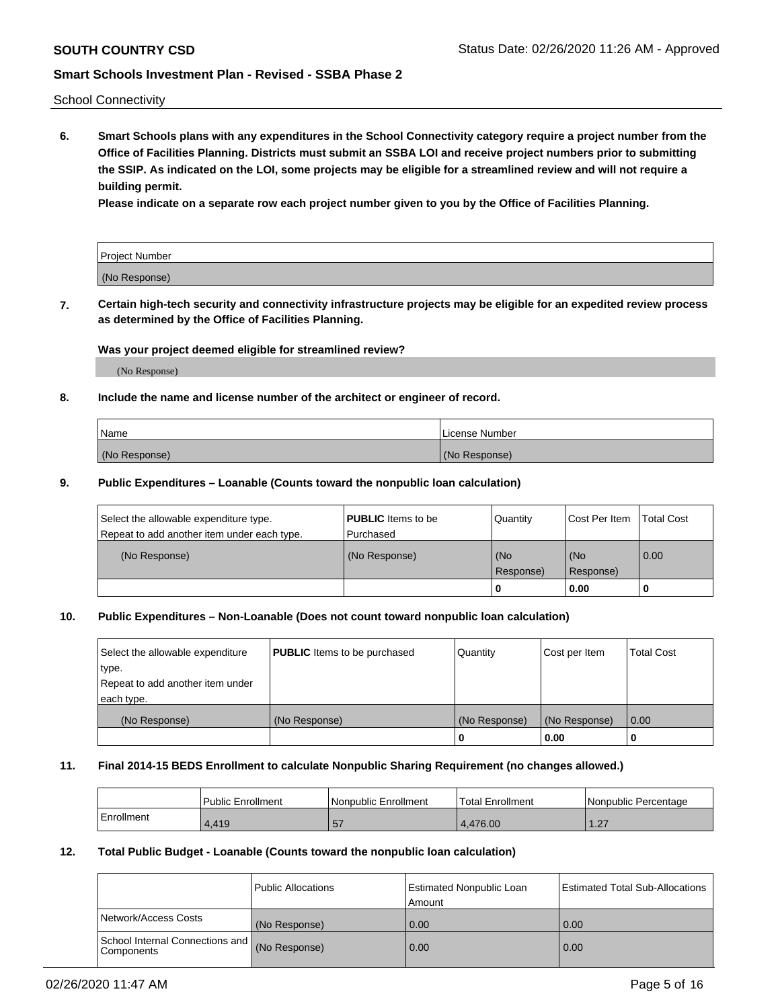School Connectivity

**6. Smart Schools plans with any expenditures in the School Connectivity category require a project number from the Office of Facilities Planning. Districts must submit an SSBA LOI and receive project numbers prior to submitting the SSIP. As indicated on the LOI, some projects may be eligible for a streamlined review and will not require a building permit.**

**Please indicate on a separate row each project number given to you by the Office of Facilities Planning.**

| Project Number |  |
|----------------|--|
| (No Response)  |  |

**7. Certain high-tech security and connectivity infrastructure projects may be eligible for an expedited review process as determined by the Office of Facilities Planning.**

## **Was your project deemed eligible for streamlined review?**

(No Response)

## **8. Include the name and license number of the architect or engineer of record.**

| Name          | License Number |
|---------------|----------------|
| (No Response) | (No Response)  |

### **9. Public Expenditures – Loanable (Counts toward the nonpublic loan calculation)**

| Select the allowable expenditure type.<br>Repeat to add another item under each type. | <b>PUBLIC</b> Items to be<br>l Purchased | Quantity           | Cost Per Item    | <b>Total Cost</b> |
|---------------------------------------------------------------------------------------|------------------------------------------|--------------------|------------------|-------------------|
| (No Response)                                                                         | (No Response)                            | l (No<br>Response) | (No<br>Response) | $\overline{0.00}$ |
|                                                                                       |                                          | O                  | 0.00             |                   |

## **10. Public Expenditures – Non-Loanable (Does not count toward nonpublic loan calculation)**

| Select the allowable expenditure<br>type.<br>Repeat to add another item under<br>each type. | <b>PUBLIC</b> Items to be purchased | Quantity      | Cost per Item | <b>Total Cost</b> |
|---------------------------------------------------------------------------------------------|-------------------------------------|---------------|---------------|-------------------|
| (No Response)                                                                               | (No Response)                       | (No Response) | (No Response) | 0.00              |
|                                                                                             |                                     |               | 0.00          |                   |

### **11. Final 2014-15 BEDS Enrollment to calculate Nonpublic Sharing Requirement (no changes allowed.)**

|            | Public Enrollment | Nonpublic Enrollment | 'Total Enrollment | l Nonpublic Percentage |
|------------|-------------------|----------------------|-------------------|------------------------|
| Enrollment | 4.419             | --<br>ال             | 4,476.00          | $\sim$<br>$\sqrt{2}$   |

### **12. Total Public Budget - Loanable (Counts toward the nonpublic loan calculation)**

|                                                      | Public Allocations | <b>Estimated Nonpublic Loan</b><br>Amount | Estimated Total Sub-Allocations |
|------------------------------------------------------|--------------------|-------------------------------------------|---------------------------------|
| Network/Access Costs                                 | (No Response)      | 0.00                                      | 0.00                            |
| School Internal Connections and<br><b>Components</b> | (No Response)      | 0.00                                      | 0.00                            |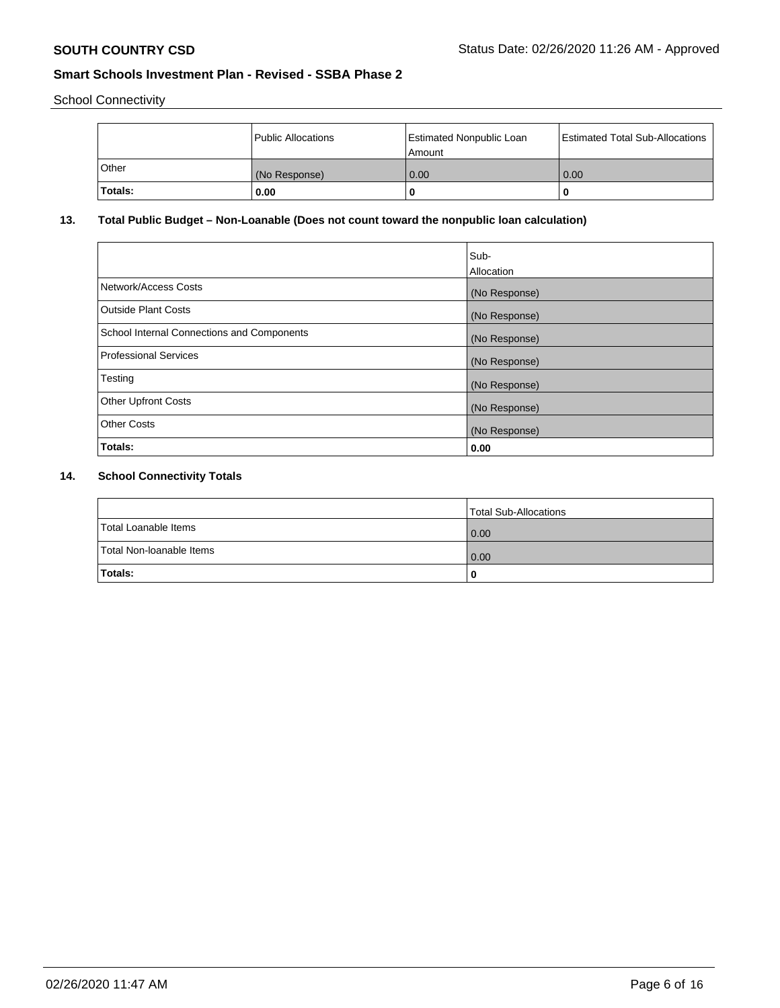School Connectivity

|         | <b>Public Allocations</b> | <b>Estimated Nonpublic Loan</b><br>l Amount i | <b>Estimated Total Sub-Allocations</b> |
|---------|---------------------------|-----------------------------------------------|----------------------------------------|
| Other   | (No Response)             | 0.00                                          | 0.00                                   |
| Totals: | 0.00                      | 0                                             | ш                                      |

# **13. Total Public Budget – Non-Loanable (Does not count toward the nonpublic loan calculation)**

|                                                   | Sub-<br>Allocation |
|---------------------------------------------------|--------------------|
| Network/Access Costs                              | (No Response)      |
| <b>Outside Plant Costs</b>                        | (No Response)      |
| <b>School Internal Connections and Components</b> | (No Response)      |
| Professional Services                             | (No Response)      |
| Testing                                           | (No Response)      |
| <b>Other Upfront Costs</b>                        | (No Response)      |
| <b>Other Costs</b>                                | (No Response)      |
| Totals:                                           | 0.00               |

# **14. School Connectivity Totals**

|                          | Total Sub-Allocations |
|--------------------------|-----------------------|
| Total Loanable Items     | 0.00                  |
| Total Non-Ioanable Items | 0.00                  |
| Totals:                  |                       |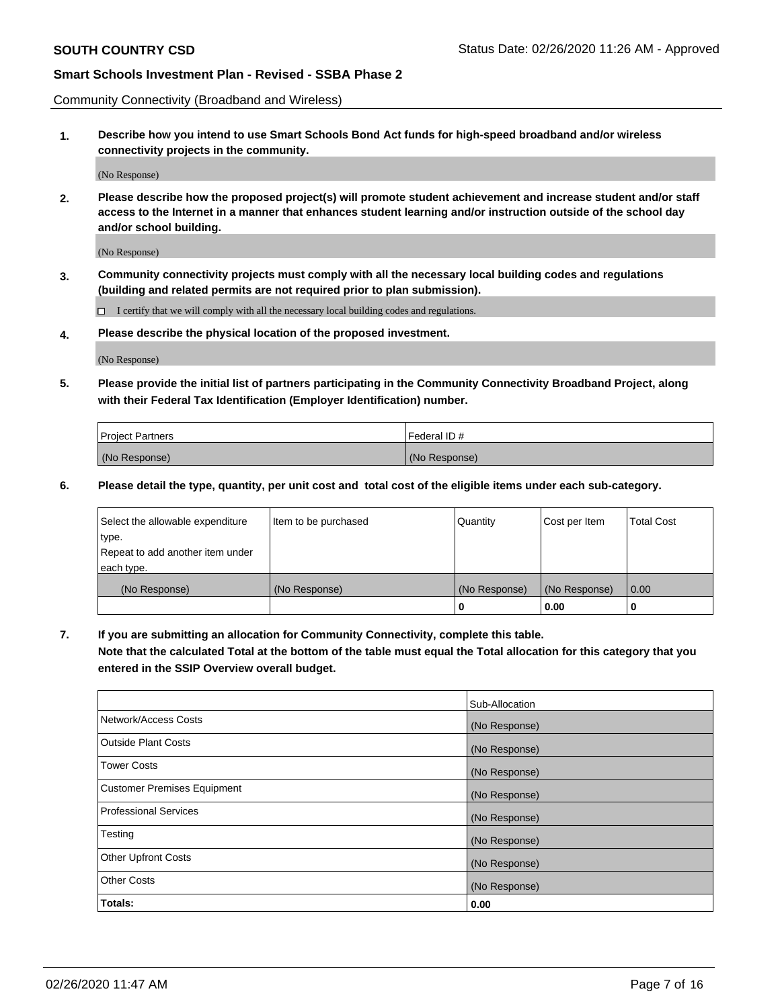Community Connectivity (Broadband and Wireless)

**1. Describe how you intend to use Smart Schools Bond Act funds for high-speed broadband and/or wireless connectivity projects in the community.**

(No Response)

**2. Please describe how the proposed project(s) will promote student achievement and increase student and/or staff access to the Internet in a manner that enhances student learning and/or instruction outside of the school day and/or school building.**

(No Response)

**3. Community connectivity projects must comply with all the necessary local building codes and regulations (building and related permits are not required prior to plan submission).**

 $\Box$  I certify that we will comply with all the necessary local building codes and regulations.

**4. Please describe the physical location of the proposed investment.**

(No Response)

**5. Please provide the initial list of partners participating in the Community Connectivity Broadband Project, along with their Federal Tax Identification (Employer Identification) number.**

| <b>Project Partners</b> | l Federal ID # |
|-------------------------|----------------|
| (No Response)           | (No Response)  |

**6. Please detail the type, quantity, per unit cost and total cost of the eligible items under each sub-category.**

| Select the allowable expenditure | Item to be purchased | Quantity      | Cost per Item | <b>Total Cost</b> |
|----------------------------------|----------------------|---------------|---------------|-------------------|
| type.                            |                      |               |               |                   |
| Repeat to add another item under |                      |               |               |                   |
| each type.                       |                      |               |               |                   |
| (No Response)                    | (No Response)        | (No Response) | (No Response) | 0.00              |
|                                  |                      | U             | 0.00          |                   |

**7. If you are submitting an allocation for Community Connectivity, complete this table.**

**Note that the calculated Total at the bottom of the table must equal the Total allocation for this category that you entered in the SSIP Overview overall budget.**

|                                    | Sub-Allocation |
|------------------------------------|----------------|
| Network/Access Costs               | (No Response)  |
| Outside Plant Costs                | (No Response)  |
| <b>Tower Costs</b>                 | (No Response)  |
| <b>Customer Premises Equipment</b> | (No Response)  |
| <b>Professional Services</b>       | (No Response)  |
| Testing                            | (No Response)  |
| <b>Other Upfront Costs</b>         | (No Response)  |
| <b>Other Costs</b>                 | (No Response)  |
| Totals:                            | 0.00           |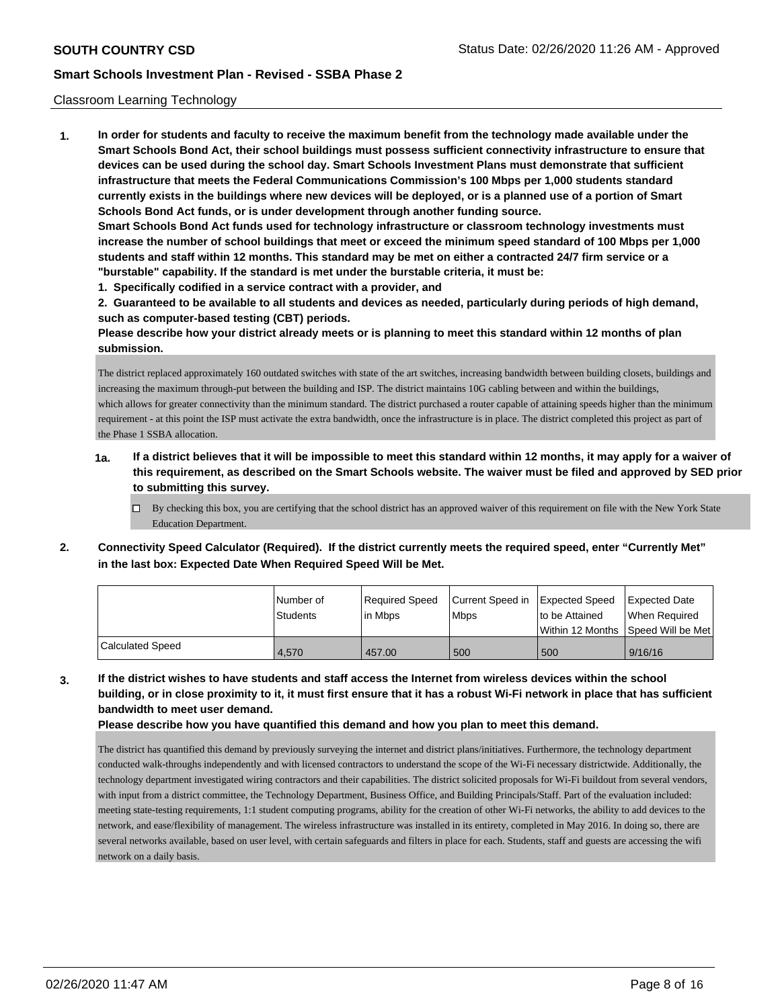### Classroom Learning Technology

**1. In order for students and faculty to receive the maximum benefit from the technology made available under the Smart Schools Bond Act, their school buildings must possess sufficient connectivity infrastructure to ensure that devices can be used during the school day. Smart Schools Investment Plans must demonstrate that sufficient infrastructure that meets the Federal Communications Commission's 100 Mbps per 1,000 students standard currently exists in the buildings where new devices will be deployed, or is a planned use of a portion of Smart Schools Bond Act funds, or is under development through another funding source. Smart Schools Bond Act funds used for technology infrastructure or classroom technology investments must increase the number of school buildings that meet or exceed the minimum speed standard of 100 Mbps per 1,000 students and staff within 12 months. This standard may be met on either a contracted 24/7 firm service or a "burstable" capability. If the standard is met under the burstable criteria, it must be:**

**1. Specifically codified in a service contract with a provider, and**

**2. Guaranteed to be available to all students and devices as needed, particularly during periods of high demand, such as computer-based testing (CBT) periods.**

**Please describe how your district already meets or is planning to meet this standard within 12 months of plan submission.**

The district replaced approximately 160 outdated switches with state of the art switches, increasing bandwidth between building closets, buildings and increasing the maximum through-put between the building and ISP. The district maintains 10G cabling between and within the buildings, which allows for greater connectivity than the minimum standard. The district purchased a router capable of attaining speeds higher than the minimum requirement - at this point the ISP must activate the extra bandwidth, once the infrastructure is in place. The district completed this project as part of the Phase 1 SSBA allocation.

- **1a. If a district believes that it will be impossible to meet this standard within 12 months, it may apply for a waiver of this requirement, as described on the Smart Schools website. The waiver must be filed and approved by SED prior to submitting this survey.**
	- By checking this box, you are certifying that the school district has an approved waiver of this requirement on file with the New York State Education Department.
- **2. Connectivity Speed Calculator (Required). If the district currently meets the required speed, enter "Currently Met" in the last box: Expected Date When Required Speed Will be Met.**

|                         | l Number of<br><b>Students</b> | Required Speed<br>l in Mbps | Current Speed in<br><b>Mbps</b> | <b>Expected Speed</b><br>to be Attained<br>Within 12 Months 1Speed Will be Met1 | Expected Date<br>When Required |
|-------------------------|--------------------------------|-----------------------------|---------------------------------|---------------------------------------------------------------------------------|--------------------------------|
| <b>Calculated Speed</b> | 4.570                          | 457.00                      | 500                             | 500                                                                             | 9/16/16                        |

**3. If the district wishes to have students and staff access the Internet from wireless devices within the school building, or in close proximity to it, it must first ensure that it has a robust Wi-Fi network in place that has sufficient bandwidth to meet user demand.**

**Please describe how you have quantified this demand and how you plan to meet this demand.**

The district has quantified this demand by previously surveying the internet and district plans/initiatives. Furthermore, the technology department conducted walk-throughs independently and with licensed contractors to understand the scope of the Wi-Fi necessary districtwide. Additionally, the technology department investigated wiring contractors and their capabilities. The district solicited proposals for Wi-Fi buildout from several vendors, with input from a district committee, the Technology Department, Business Office, and Building Principals/Staff. Part of the evaluation included: meeting state-testing requirements, 1:1 student computing programs, ability for the creation of other Wi-Fi networks, the ability to add devices to the network, and ease/flexibility of management. The wireless infrastructure was installed in its entirety, completed in May 2016. In doing so, there are several networks available, based on user level, with certain safeguards and filters in place for each. Students, staff and guests are accessing the wifi network on a daily basis.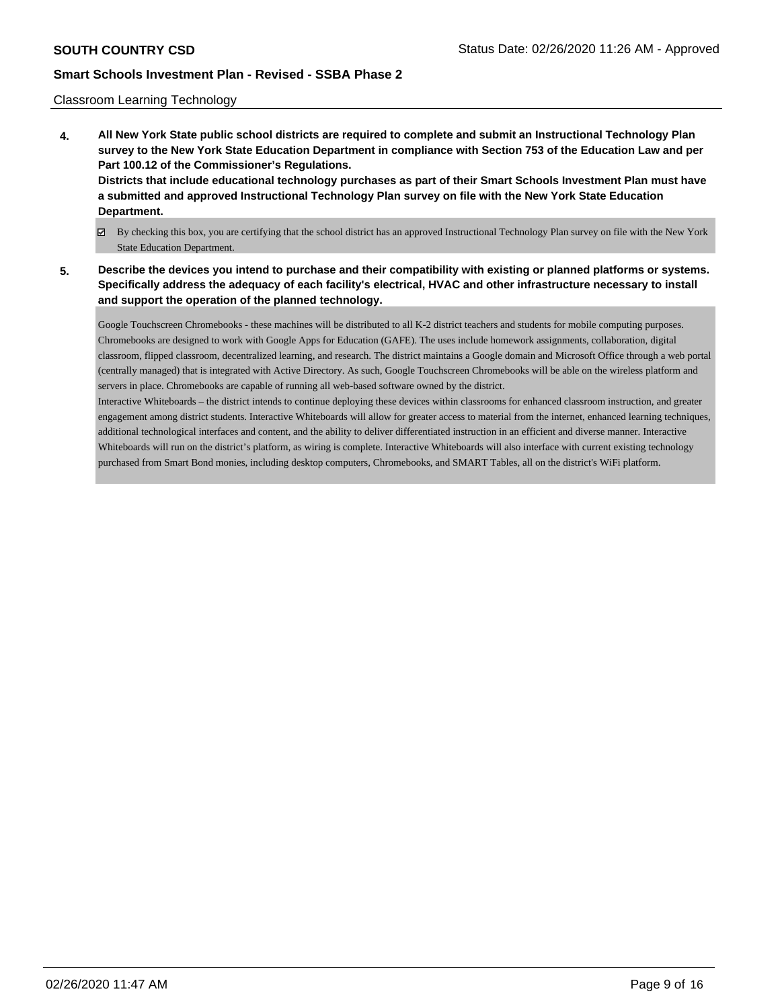### Classroom Learning Technology

**4. All New York State public school districts are required to complete and submit an Instructional Technology Plan survey to the New York State Education Department in compliance with Section 753 of the Education Law and per Part 100.12 of the Commissioner's Regulations. Districts that include educational technology purchases as part of their Smart Schools Investment Plan must have a submitted and approved Instructional Technology Plan survey on file with the New York State Education**

# **Department.**

- By checking this box, you are certifying that the school district has an approved Instructional Technology Plan survey on file with the New York State Education Department.
- **5. Describe the devices you intend to purchase and their compatibility with existing or planned platforms or systems. Specifically address the adequacy of each facility's electrical, HVAC and other infrastructure necessary to install and support the operation of the planned technology.**

Google Touchscreen Chromebooks - these machines will be distributed to all K-2 district teachers and students for mobile computing purposes. Chromebooks are designed to work with Google Apps for Education (GAFE). The uses include homework assignments, collaboration, digital classroom, flipped classroom, decentralized learning, and research. The district maintains a Google domain and Microsoft Office through a web portal (centrally managed) that is integrated with Active Directory. As such, Google Touchscreen Chromebooks will be able on the wireless platform and servers in place. Chromebooks are capable of running all web-based software owned by the district.

Interactive Whiteboards – the district intends to continue deploying these devices within classrooms for enhanced classroom instruction, and greater engagement among district students. Interactive Whiteboards will allow for greater access to material from the internet, enhanced learning techniques, additional technological interfaces and content, and the ability to deliver differentiated instruction in an efficient and diverse manner. Interactive Whiteboards will run on the district's platform, as wiring is complete. Interactive Whiteboards will also interface with current existing technology purchased from Smart Bond monies, including desktop computers, Chromebooks, and SMART Tables, all on the district's WiFi platform.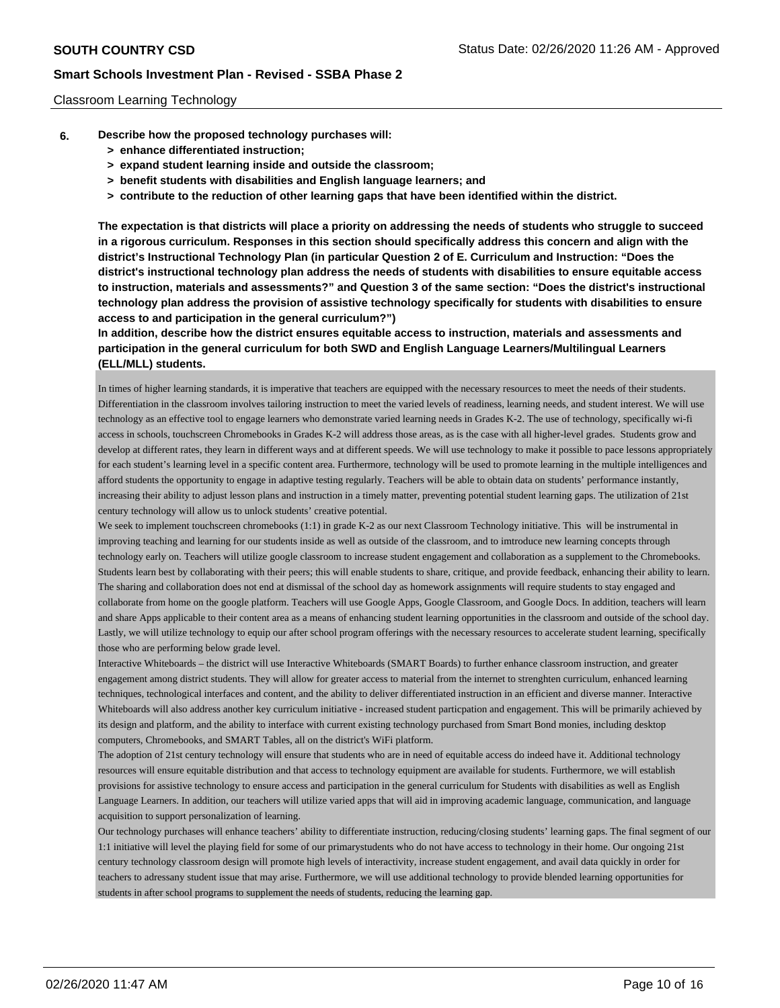### Classroom Learning Technology

- **6. Describe how the proposed technology purchases will:**
	- **> enhance differentiated instruction;**
	- **> expand student learning inside and outside the classroom;**
	- **> benefit students with disabilities and English language learners; and**
	- **> contribute to the reduction of other learning gaps that have been identified within the district.**

**The expectation is that districts will place a priority on addressing the needs of students who struggle to succeed in a rigorous curriculum. Responses in this section should specifically address this concern and align with the district's Instructional Technology Plan (in particular Question 2 of E. Curriculum and Instruction: "Does the district's instructional technology plan address the needs of students with disabilities to ensure equitable access to instruction, materials and assessments?" and Question 3 of the same section: "Does the district's instructional technology plan address the provision of assistive technology specifically for students with disabilities to ensure access to and participation in the general curriculum?")**

**In addition, describe how the district ensures equitable access to instruction, materials and assessments and participation in the general curriculum for both SWD and English Language Learners/Multilingual Learners (ELL/MLL) students.**

In times of higher learning standards, it is imperative that teachers are equipped with the necessary resources to meet the needs of their students. Differentiation in the classroom involves tailoring instruction to meet the varied levels of readiness, learning needs, and student interest. We will use technology as an effective tool to engage learners who demonstrate varied learning needs in Grades K-2. The use of technology, specifically wi-fi access in schools, touchscreen Chromebooks in Grades K-2 will address those areas, as is the case with all higher-level grades. Students grow and develop at different rates, they learn in different ways and at different speeds. We will use technology to make it possible to pace lessons appropriately for each student's learning level in a specific content area. Furthermore, technology will be used to promote learning in the multiple intelligences and afford students the opportunity to engage in adaptive testing regularly. Teachers will be able to obtain data on students' performance instantly, increasing their ability to adjust lesson plans and instruction in a timely matter, preventing potential student learning gaps. The utilization of 21st century technology will allow us to unlock students' creative potential.

We seek to implement touchscreen chromebooks (1:1) in grade K-2 as our next Classroom Technology initiative. This will be instrumental in improving teaching and learning for our students inside as well as outside of the classroom, and to imtroduce new learning concepts through technology early on. Teachers will utilize google classroom to increase student engagement and collaboration as a supplement to the Chromebooks. Students learn best by collaborating with their peers; this will enable students to share, critique, and provide feedback, enhancing their ability to learn. The sharing and collaboration does not end at dismissal of the school day as homework assignments will require students to stay engaged and collaborate from home on the google platform. Teachers will use Google Apps, Google Classroom, and Google Docs. In addition, teachers will learn and share Apps applicable to their content area as a means of enhancing student learning opportunities in the classroom and outside of the school day. Lastly, we will utilize technology to equip our after school program offerings with the necessary resources to accelerate student learning, specifically those who are performing below grade level.

Interactive Whiteboards – the district will use Interactive Whiteboards (SMART Boards) to further enhance classroom instruction, and greater engagement among district students. They will allow for greater access to material from the internet to strenghten curriculum, enhanced learning techniques, technological interfaces and content, and the ability to deliver differentiated instruction in an efficient and diverse manner. Interactive Whiteboards will also address another key curriculum initiative - increased student particpation and engagement. This will be primarily achieved by its design and platform, and the ability to interface with current existing technology purchased from Smart Bond monies, including desktop computers, Chromebooks, and SMART Tables, all on the district's WiFi platform.

The adoption of 21st century technology will ensure that students who are in need of equitable access do indeed have it. Additional technology resources will ensure equitable distribution and that access to technology equipment are available for students. Furthermore, we will establish provisions for assistive technology to ensure access and participation in the general curriculum for Students with disabilities as well as English Language Learners. In addition, our teachers will utilize varied apps that will aid in improving academic language, communication, and language acquisition to support personalization of learning.

Our technology purchases will enhance teachers' ability to differentiate instruction, reducing/closing students' learning gaps. The final segment of our 1:1 initiative will level the playing field for some of our primarystudents who do not have access to technology in their home. Our ongoing 21st century technology classroom design will promote high levels of interactivity, increase student engagement, and avail data quickly in order for teachers to adressany student issue that may arise. Furthermore, we will use additional technology to provide blended learning opportunities for students in after school programs to supplement the needs of students, reducing the learning gap.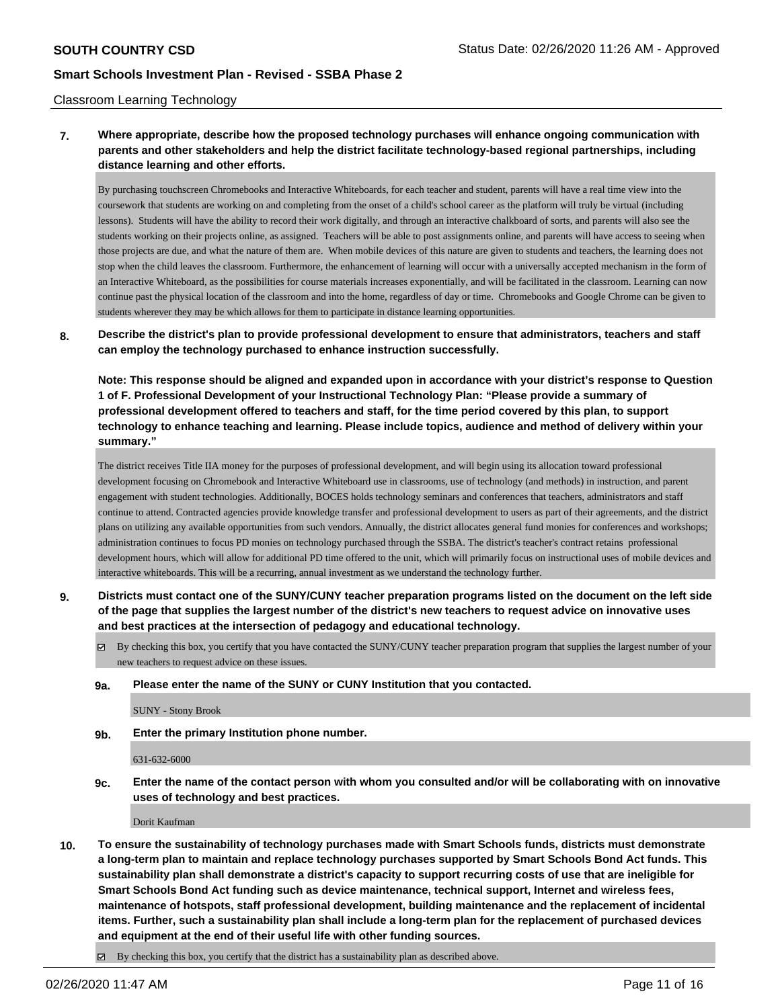### Classroom Learning Technology

# **7. Where appropriate, describe how the proposed technology purchases will enhance ongoing communication with parents and other stakeholders and help the district facilitate technology-based regional partnerships, including distance learning and other efforts.**

By purchasing touchscreen Chromebooks and Interactive Whiteboards, for each teacher and student, parents will have a real time view into the coursework that students are working on and completing from the onset of a child's school career as the platform will truly be virtual (including lessons). Students will have the ability to record their work digitally, and through an interactive chalkboard of sorts, and parents will also see the students working on their projects online, as assigned. Teachers will be able to post assignments online, and parents will have access to seeing when those projects are due, and what the nature of them are. When mobile devices of this nature are given to students and teachers, the learning does not stop when the child leaves the classroom. Furthermore, the enhancement of learning will occur with a universally accepted mechanism in the form of an Interactive Whiteboard, as the possibilities for course materials increases exponentially, and will be facilitated in the classroom. Learning can now continue past the physical location of the classroom and into the home, regardless of day or time. Chromebooks and Google Chrome can be given to students wherever they may be which allows for them to participate in distance learning opportunities.

## **8. Describe the district's plan to provide professional development to ensure that administrators, teachers and staff can employ the technology purchased to enhance instruction successfully.**

**Note: This response should be aligned and expanded upon in accordance with your district's response to Question 1 of F. Professional Development of your Instructional Technology Plan: "Please provide a summary of professional development offered to teachers and staff, for the time period covered by this plan, to support technology to enhance teaching and learning. Please include topics, audience and method of delivery within your summary."**

The district receives Title IIA money for the purposes of professional development, and will begin using its allocation toward professional development focusing on Chromebook and Interactive Whiteboard use in classrooms, use of technology (and methods) in instruction, and parent engagement with student technologies. Additionally, BOCES holds technology seminars and conferences that teachers, administrators and staff continue to attend. Contracted agencies provide knowledge transfer and professional development to users as part of their agreements, and the district plans on utilizing any available opportunities from such vendors. Annually, the district allocates general fund monies for conferences and workshops; administration continues to focus PD monies on technology purchased through the SSBA. The district's teacher's contract retains professional development hours, which will allow for additional PD time offered to the unit, which will primarily focus on instructional uses of mobile devices and interactive whiteboards. This will be a recurring, annual investment as we understand the technology further.

- **9. Districts must contact one of the SUNY/CUNY teacher preparation programs listed on the document on the left side of the page that supplies the largest number of the district's new teachers to request advice on innovative uses and best practices at the intersection of pedagogy and educational technology.**
	- $\boxtimes$  By checking this box, you certify that you have contacted the SUNY/CUNY teacher preparation program that supplies the largest number of your new teachers to request advice on these issues.

### **9a. Please enter the name of the SUNY or CUNY Institution that you contacted.**

SUNY - Stony Brook

**9b. Enter the primary Institution phone number.**

631-632-6000

**9c. Enter the name of the contact person with whom you consulted and/or will be collaborating with on innovative uses of technology and best practices.**

Dorit Kaufman

**10. To ensure the sustainability of technology purchases made with Smart Schools funds, districts must demonstrate a long-term plan to maintain and replace technology purchases supported by Smart Schools Bond Act funds. This sustainability plan shall demonstrate a district's capacity to support recurring costs of use that are ineligible for Smart Schools Bond Act funding such as device maintenance, technical support, Internet and wireless fees, maintenance of hotspots, staff professional development, building maintenance and the replacement of incidental items. Further, such a sustainability plan shall include a long-term plan for the replacement of purchased devices and equipment at the end of their useful life with other funding sources.**

By checking this box, you certify that the district has a sustainability plan as described above.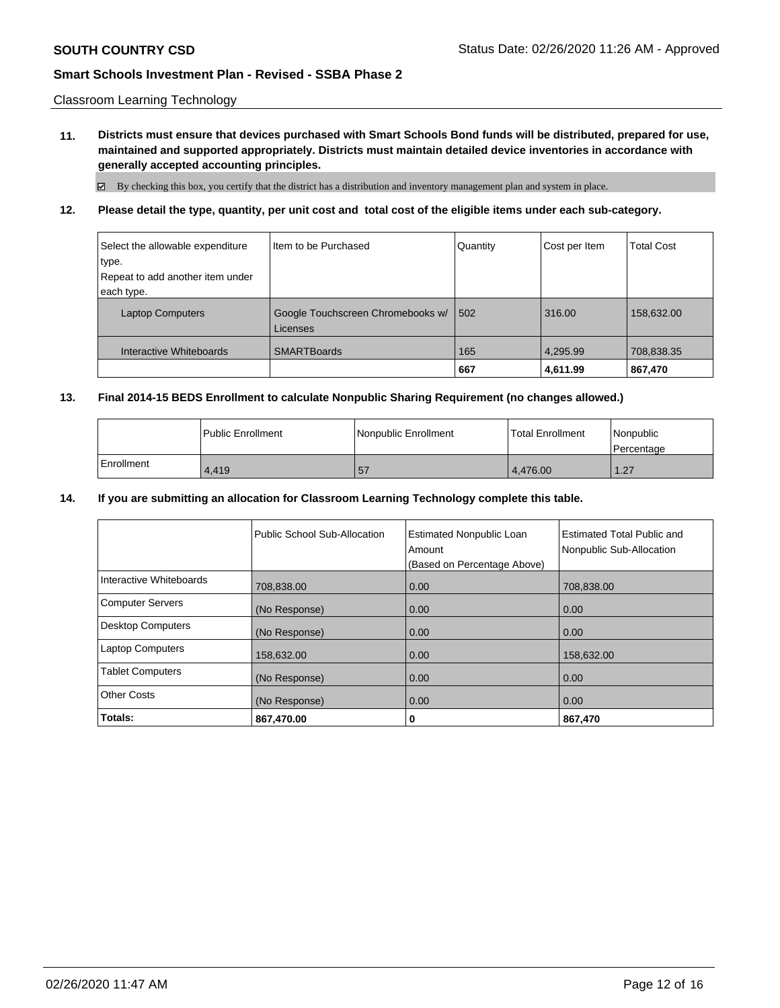Classroom Learning Technology

**11. Districts must ensure that devices purchased with Smart Schools Bond funds will be distributed, prepared for use, maintained and supported appropriately. Districts must maintain detailed device inventories in accordance with generally accepted accounting principles.**

By checking this box, you certify that the district has a distribution and inventory management plan and system in place.

**12. Please detail the type, quantity, per unit cost and total cost of the eligible items under each sub-category.**

| Select the allowable expenditure | Item to be Purchased                          | Quantity | Cost per Item | <b>Total Cost</b> |
|----------------------------------|-----------------------------------------------|----------|---------------|-------------------|
| type.                            |                                               |          |               |                   |
| Repeat to add another item under |                                               |          |               |                   |
| each type.                       |                                               |          |               |                   |
| <b>Laptop Computers</b>          | Google Touchscreen Chromebooks w/<br>Licenses | 1502     | 316.00        | 158,632.00        |
| Interactive Whiteboards          | <b>SMARTBoards</b>                            | 165      | 4,295.99      | 708,838.35        |
|                                  |                                               | 667      | 4,611.99      | 867,470           |

## **13. Final 2014-15 BEDS Enrollment to calculate Nonpublic Sharing Requirement (no changes allowed.)**

|            | Public Enrollment | l Nonpublic Enrollment | <b>Total Enrollment</b> | <i>Nonpublic</i><br>l Percentage |
|------------|-------------------|------------------------|-------------------------|----------------------------------|
| Enrollment | 4.419             | 57                     | 4.476.00                | 1.27                             |

## **14. If you are submitting an allocation for Classroom Learning Technology complete this table.**

|                          | Public School Sub-Allocation | <b>Estimated Nonpublic Loan</b><br>Amount | <b>Estimated Total Public and</b><br>Nonpublic Sub-Allocation |
|--------------------------|------------------------------|-------------------------------------------|---------------------------------------------------------------|
| Interactive Whiteboards  |                              | (Based on Percentage Above)               |                                                               |
|                          | 708.838.00                   | 0.00                                      | 708,838.00                                                    |
| <b>Computer Servers</b>  | (No Response)                | 0.00                                      | 0.00                                                          |
| <b>Desktop Computers</b> | (No Response)                | 0.00                                      | 0.00                                                          |
| <b>Laptop Computers</b>  | 158,632.00                   | 0.00                                      | 158,632.00                                                    |
| <b>Tablet Computers</b>  | (No Response)                | 0.00                                      | 0.00                                                          |
| <b>Other Costs</b>       | (No Response)                | 0.00                                      | 0.00                                                          |
| Totals:                  | 867,470.00                   | 0                                         | 867,470                                                       |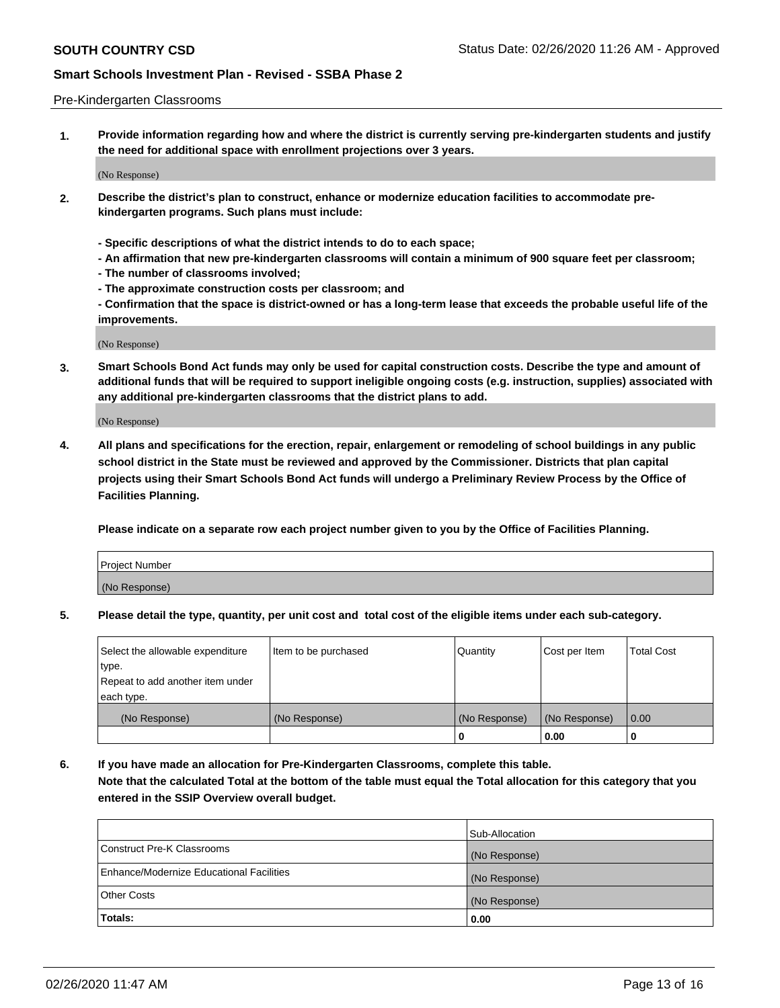### Pre-Kindergarten Classrooms

**1. Provide information regarding how and where the district is currently serving pre-kindergarten students and justify the need for additional space with enrollment projections over 3 years.**

(No Response)

- **2. Describe the district's plan to construct, enhance or modernize education facilities to accommodate prekindergarten programs. Such plans must include:**
	- **Specific descriptions of what the district intends to do to each space;**
	- **An affirmation that new pre-kindergarten classrooms will contain a minimum of 900 square feet per classroom;**
	- **The number of classrooms involved;**
	- **The approximate construction costs per classroom; and**
	- **Confirmation that the space is district-owned or has a long-term lease that exceeds the probable useful life of the improvements.**

(No Response)

**3. Smart Schools Bond Act funds may only be used for capital construction costs. Describe the type and amount of additional funds that will be required to support ineligible ongoing costs (e.g. instruction, supplies) associated with any additional pre-kindergarten classrooms that the district plans to add.**

(No Response)

**4. All plans and specifications for the erection, repair, enlargement or remodeling of school buildings in any public school district in the State must be reviewed and approved by the Commissioner. Districts that plan capital projects using their Smart Schools Bond Act funds will undergo a Preliminary Review Process by the Office of Facilities Planning.**

**Please indicate on a separate row each project number given to you by the Office of Facilities Planning.**

| Project Number |  |
|----------------|--|
| (No Response)  |  |
|                |  |

**5. Please detail the type, quantity, per unit cost and total cost of the eligible items under each sub-category.**

| Select the allowable expenditure | Item to be purchased | Quantity      | Cost per Item | <b>Total Cost</b> |
|----------------------------------|----------------------|---------------|---------------|-------------------|
| type.                            |                      |               |               |                   |
| Repeat to add another item under |                      |               |               |                   |
| each type.                       |                      |               |               |                   |
| (No Response)                    | (No Response)        | (No Response) | (No Response) | 0.00              |
|                                  |                      | U             | 0.00          |                   |

**6. If you have made an allocation for Pre-Kindergarten Classrooms, complete this table. Note that the calculated Total at the bottom of the table must equal the Total allocation for this category that you entered in the SSIP Overview overall budget.**

|                                          | Sub-Allocation |
|------------------------------------------|----------------|
| Construct Pre-K Classrooms               | (No Response)  |
| Enhance/Modernize Educational Facilities | (No Response)  |
| <b>Other Costs</b>                       | (No Response)  |
| Totals:                                  | 0.00           |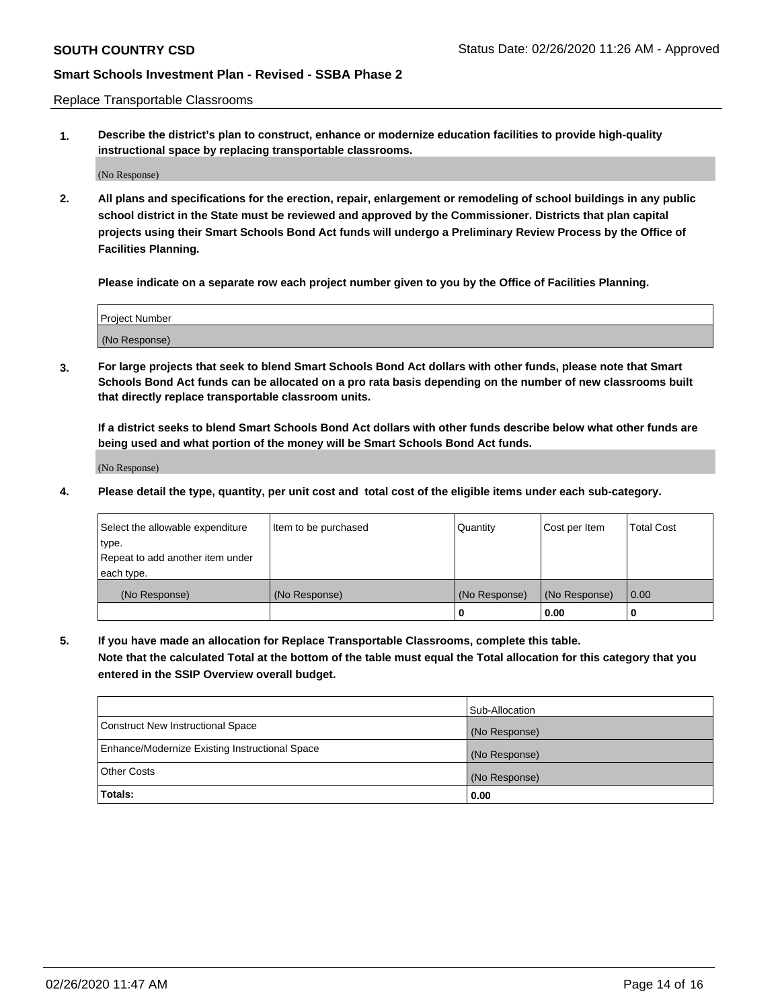Replace Transportable Classrooms

**1. Describe the district's plan to construct, enhance or modernize education facilities to provide high-quality instructional space by replacing transportable classrooms.**

(No Response)

**2. All plans and specifications for the erection, repair, enlargement or remodeling of school buildings in any public school district in the State must be reviewed and approved by the Commissioner. Districts that plan capital projects using their Smart Schools Bond Act funds will undergo a Preliminary Review Process by the Office of Facilities Planning.**

**Please indicate on a separate row each project number given to you by the Office of Facilities Planning.**

| Project Number |  |
|----------------|--|
|                |  |
|                |  |
|                |  |
|                |  |
| (No Response)  |  |
|                |  |
|                |  |
|                |  |

**3. For large projects that seek to blend Smart Schools Bond Act dollars with other funds, please note that Smart Schools Bond Act funds can be allocated on a pro rata basis depending on the number of new classrooms built that directly replace transportable classroom units.**

**If a district seeks to blend Smart Schools Bond Act dollars with other funds describe below what other funds are being used and what portion of the money will be Smart Schools Bond Act funds.**

(No Response)

**4. Please detail the type, quantity, per unit cost and total cost of the eligible items under each sub-category.**

| Select the allowable expenditure | Item to be purchased | Quantity      | Cost per Item | Total Cost |
|----------------------------------|----------------------|---------------|---------------|------------|
| ∣type.                           |                      |               |               |            |
| Repeat to add another item under |                      |               |               |            |
| each type.                       |                      |               |               |            |
| (No Response)                    | (No Response)        | (No Response) | (No Response) | 0.00       |
|                                  |                      | u             | 0.00          |            |

**5. If you have made an allocation for Replace Transportable Classrooms, complete this table. Note that the calculated Total at the bottom of the table must equal the Total allocation for this category that you entered in the SSIP Overview overall budget.**

|                                                | Sub-Allocation |
|------------------------------------------------|----------------|
| Construct New Instructional Space              | (No Response)  |
| Enhance/Modernize Existing Instructional Space | (No Response)  |
| <b>Other Costs</b>                             | (No Response)  |
| Totals:                                        | 0.00           |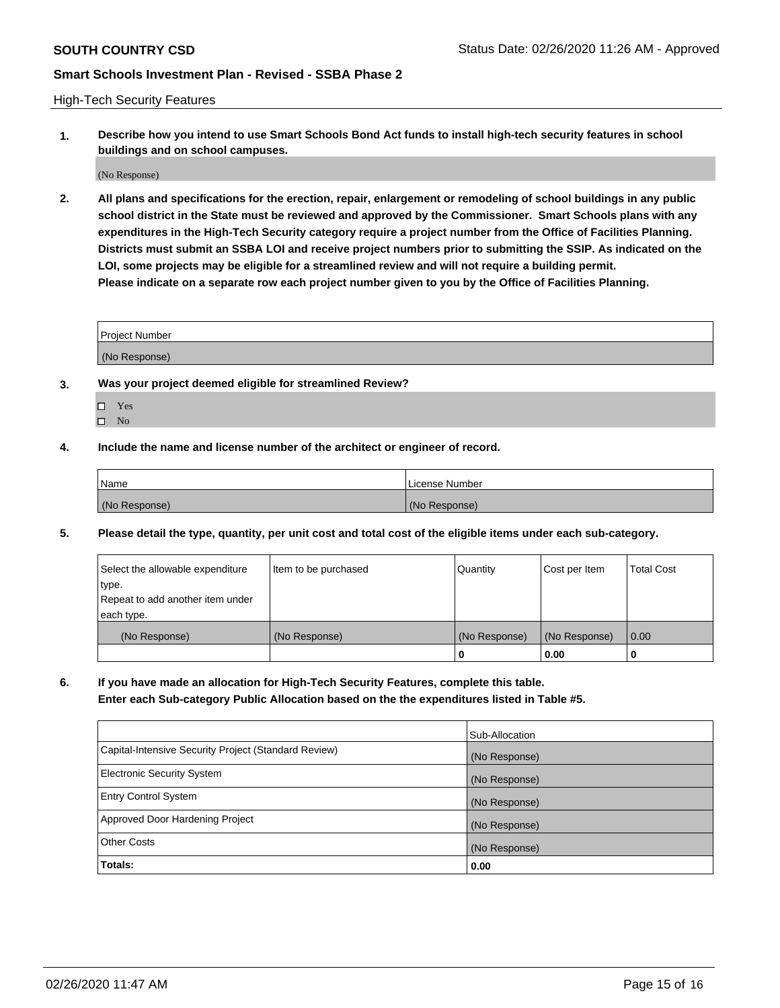High-Tech Security Features

**1. Describe how you intend to use Smart Schools Bond Act funds to install high-tech security features in school buildings and on school campuses.**

(No Response)

**2. All plans and specifications for the erection, repair, enlargement or remodeling of school buildings in any public school district in the State must be reviewed and approved by the Commissioner. Smart Schools plans with any expenditures in the High-Tech Security category require a project number from the Office of Facilities Planning. Districts must submit an SSBA LOI and receive project numbers prior to submitting the SSIP. As indicated on the LOI, some projects may be eligible for a streamlined review and will not require a building permit. Please indicate on a separate row each project number given to you by the Office of Facilities Planning.**

| <b>Project Number</b> |  |
|-----------------------|--|
| (No Response)         |  |

- **3. Was your project deemed eligible for streamlined Review?**
	- Yes
	- $\hfill \square$  No
- **4. Include the name and license number of the architect or engineer of record.**

| Name          | License Number |
|---------------|----------------|
| (No Response) | (No Response)  |

**5. Please detail the type, quantity, per unit cost and total cost of the eligible items under each sub-category.**

| Select the allowable expenditure | Item to be purchased | Quantity      | Cost per Item | Total Cost |
|----------------------------------|----------------------|---------------|---------------|------------|
| 'type.                           |                      |               |               |            |
| Repeat to add another item under |                      |               |               |            |
| each type.                       |                      |               |               |            |
| (No Response)                    | (No Response)        | (No Response) | (No Response) | 0.00       |
|                                  |                      | u             | 0.00          |            |

**6. If you have made an allocation for High-Tech Security Features, complete this table.**

**Enter each Sub-category Public Allocation based on the the expenditures listed in Table #5.**

|                                                      | Sub-Allocation |
|------------------------------------------------------|----------------|
| Capital-Intensive Security Project (Standard Review) | (No Response)  |
| <b>Electronic Security System</b>                    | (No Response)  |
| <b>Entry Control System</b>                          | (No Response)  |
| Approved Door Hardening Project                      | (No Response)  |
| <b>Other Costs</b>                                   | (No Response)  |
| Totals:                                              | 0.00           |